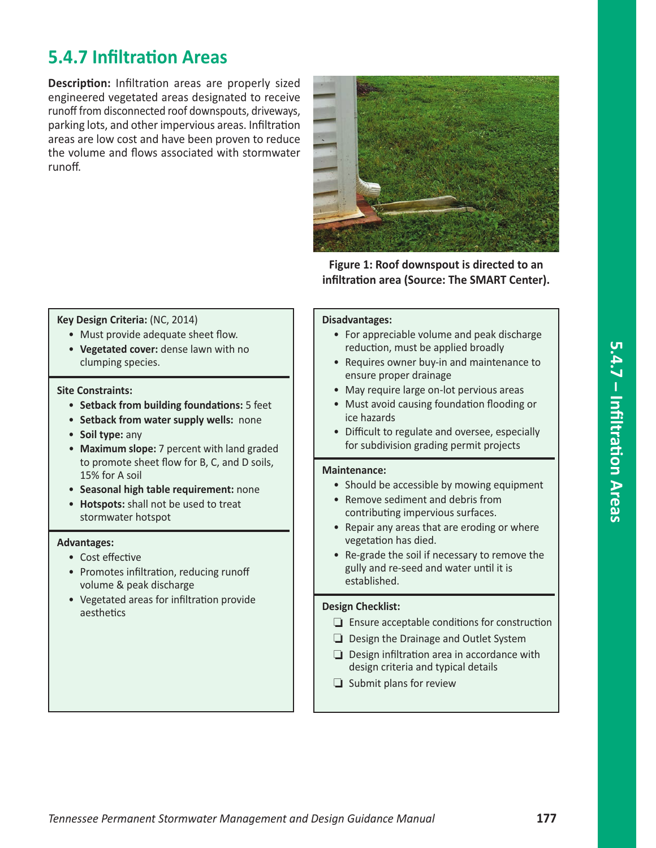# **5.4.7 Infiltration Areas**

**Description:** Infiltration areas are properly sized engineered vegetated areas designated to receive runoff from disconnected roof downspouts, driveways, parking lots, and other impervious areas. Infiltration areas are low cost and have been proven to reduce the volume and flows associated with stormwater runoff.



**Figure 1: Roof downspout is directed to an infiltration area (Source: The SMART Center).**

#### **Key Design Criteria:** (NC, 2014)

- Must provide adequate sheet flow.
- **Vegetated cover:** dense lawn with no clumping species.

#### **Site Constraints:**

- **Setback from building foundations:** 5 feet
- **Setback from water supply wells:** none
- **Soil type:** any
- **Maximum slope:** 7 percent with land graded to promote sheet flow for B, C, and D soils, 15% for A soil
- **Seasonal high table requirement:** none
- **Hotspots:** shall not be used to treat stormwater hotspot

#### **Advantages:**

- Cost effective
- Promotes infiltration, reducing runoff volume & peak discharge
- Vegetated areas for infiltration provide aesthetics

#### **Disadvantages:**

- For appreciable volume and peak discharge reduction, must be applied broadly
- Requires owner buy‐in and maintenance to ensure proper drainage
- May require large on-lot pervious areas
- Must avoid causing foundation flooding or ice hazards
- Difficult to regulate and oversee, especially for subdivision grading permit projects

#### **Maintenance:**

- Should be accessible by mowing equipment
- Remove sediment and debris from contributing impervious surfaces.
- Repair any areas that are eroding or where vegetation has died.
- Re‐grade the soil if necessary to remove the gully and re‐seed and water until it is established.

#### **Design Checklist:**

- $\Box$  Ensure acceptable conditions for construction
- $\Box$  Design the Drainage and Outlet System
- $\Box$  Design infiltration area in accordance with design criteria and typical details
- $\Box$  Submit plans for review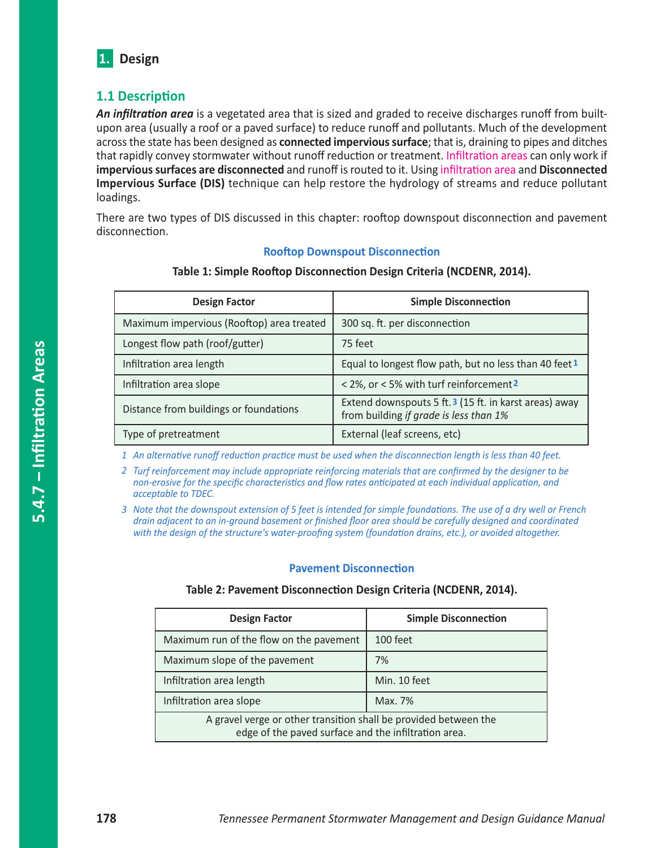

### **1.1 Description**

*An infiltration area* is a vegetated area that is sized and graded to receive discharges runoff from built‐ upon area (usually a roof or a paved surface) to reduce runoff and pollutants. Much of the development across the state has been designed as **connected impervious surface**; that is, draining to pipes and ditches that rapidly convey stormwater without runoff reduction or treatment. Infiltration areas can only work if **impervious surfaces are disconnected** and runoff is routed to it. Using infiltration area and **Disconnected Impervious Surface (DIS)** technique can help restore the hydrology of streams and reduce pollutant loadings.

There are two types of DIS discussed in this chapter: rooftop downspout disconnection and pavement disconnection.

#### **Rooftop Downspout Disconnection**

| <b>Design Factor</b>                      | <b>Simple Disconnection</b>                                                                      |  |
|-------------------------------------------|--------------------------------------------------------------------------------------------------|--|
| Maximum impervious (Rooftop) area treated | 300 sq. ft. per disconnection                                                                    |  |
| Longest flow path (roof/gutter)           | 75 feet                                                                                          |  |
| Infiltration area length                  | Equal to longest flow path, but no less than 40 feet 1                                           |  |
| Infiltration area slope                   | < 2%, or < 5% with turf reinforcement 2                                                          |  |
| Distance from buildings or foundations    | Extend downspouts 5 ft. 3 (15 ft. in karst areas) away<br>from building if grade is less than 1% |  |
| Type of pretreatment                      | External (leaf screens, etc)                                                                     |  |

#### **Table 1: Simple Rooftop Disconnection Design Criteria (NCDENR, 2014).**

*1 An alternative runoff reduction practice must be used when the disconnection length is less than 40 feet.*

*2 Turf reinforcement may include appropriate reinforcing materials that are confirmed by the designer to be non‐erosive for the specific characteristics and flow rates anticipated at each individual application, and acceptable to TDEC.*

*3 Note that the downspout extension of 5 feet is intended for simple foundations. The use of a dry well or French drain adjacent to an in‐ground basement or finished floor area should be carefully designed and coordinated with the design of the structure's water‐proofing system (foundation drains, etc.), or avoided altogether.*

#### **Pavement Disconnection**

| Table 2: Pavement Disconnection Design Criteria (NCDENR, 2014). |  |  |
|-----------------------------------------------------------------|--|--|
|                                                                 |  |  |

| <b>Design Factor</b>                                                                                                     | <b>Simple Disconnection</b> |  |
|--------------------------------------------------------------------------------------------------------------------------|-----------------------------|--|
| Maximum run of the flow on the pavement                                                                                  | 100 feet                    |  |
| Maximum slope of the pavement                                                                                            | 7%                          |  |
| Infiltration area length                                                                                                 | Min. 10 feet                |  |
| Infiltration area slope                                                                                                  | Max. 7%                     |  |
| A gravel verge or other transition shall be provided between the<br>edge of the paved surface and the infiltration area. |                             |  |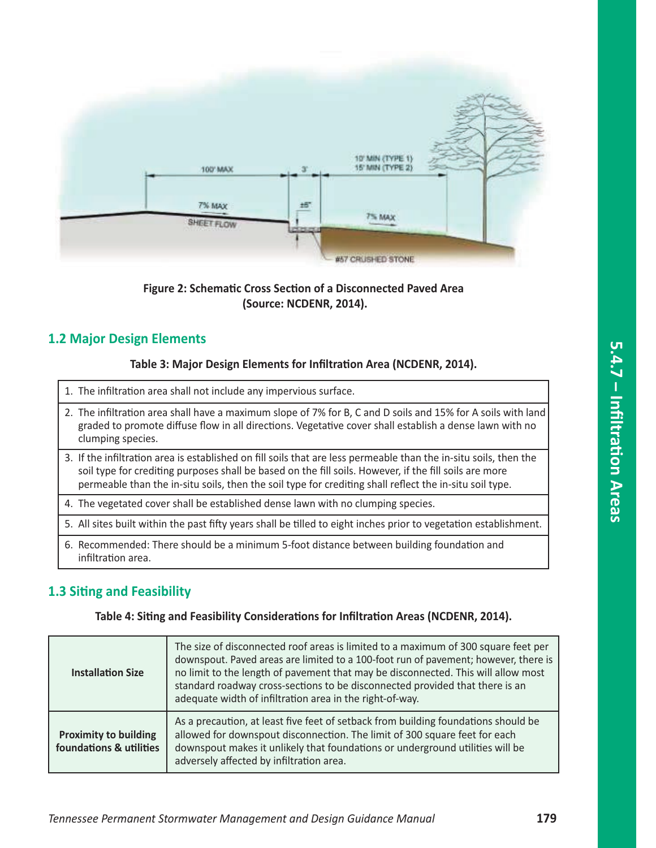

### **Figure 2: Schematic Cross Section of a Disconnected Paved Area (Source: NCDENR, 2014).**

### **1.2 Major Design Elements**

#### **Table 3: Major Design Elements for Infiltration Area (NCDENR, 2014).**

| 1. The infiltration area shall not include any impervious surface.                                                                                                                                                                                                                                                                     |
|----------------------------------------------------------------------------------------------------------------------------------------------------------------------------------------------------------------------------------------------------------------------------------------------------------------------------------------|
| 2. The infiltration area shall have a maximum slope of 7% for B, C and D soils and 15% for A soils with land<br>graded to promote diffuse flow in all directions. Vegetative cover shall establish a dense lawn with no<br>clumping species.                                                                                           |
| 3. If the infiltration area is established on fill soils that are less permeable than the in-situ soils, then the<br>soil type for crediting purposes shall be based on the fill soils. However, if the fill soils are more<br>permeable than the in-situ soils, then the soil type for crediting shall reflect the in-situ soil type. |
| 4. The vegetated cover shall be established dense lawn with no clumping species.                                                                                                                                                                                                                                                       |
| 5. All sites built within the past fifty years shall be tilled to eight inches prior to vegetation establishment.                                                                                                                                                                                                                      |
| 6. Recommended: There should be a minimum 5-foot distance between building foundation and<br>infiltration area.                                                                                                                                                                                                                        |

### **1.3 Siting and Feasibility**

**Table 4: Siting and Feasibility Considerations for Infiltration Areas (NCDENR, 2014).**

| <b>Installation Size</b>                                | The size of disconnected roof areas is limited to a maximum of 300 square feet per<br>downspout. Paved areas are limited to a 100-foot run of pavement; however, there is<br>no limit to the length of pavement that may be disconnected. This will allow most<br>standard roadway cross-sections to be disconnected provided that there is an<br>adequate width of infiltration area in the right-of-way. |  |
|---------------------------------------------------------|------------------------------------------------------------------------------------------------------------------------------------------------------------------------------------------------------------------------------------------------------------------------------------------------------------------------------------------------------------------------------------------------------------|--|
| <b>Proximity to building</b><br>foundations & utilities | As a precaution, at least five feet of setback from building foundations should be<br>allowed for downspout disconnection. The limit of 300 square feet for each<br>downspout makes it unlikely that foundations or underground utilities will be<br>adversely affected by infiltration area.                                                                                                              |  |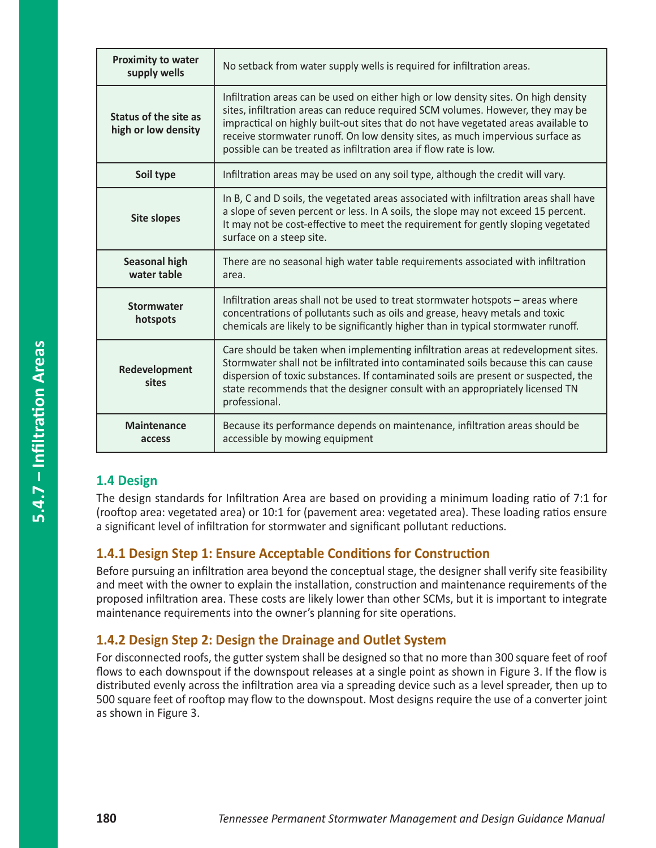| <b>Proximity to water</b><br>supply wells    | No setback from water supply wells is required for infiltration areas.                                                                                                                                                                                                                                                                                                                                               |  |
|----------------------------------------------|----------------------------------------------------------------------------------------------------------------------------------------------------------------------------------------------------------------------------------------------------------------------------------------------------------------------------------------------------------------------------------------------------------------------|--|
| Status of the site as<br>high or low density | Infiltration areas can be used on either high or low density sites. On high density<br>sites, infiltration areas can reduce required SCM volumes. However, they may be<br>impractical on highly built-out sites that do not have vegetated areas available to<br>receive stormwater runoff. On low density sites, as much impervious surface as<br>possible can be treated as infiltration area if flow rate is low. |  |
| Soil type                                    | Infiltration areas may be used on any soil type, although the credit will vary.                                                                                                                                                                                                                                                                                                                                      |  |
| <b>Site slopes</b>                           | In B, C and D soils, the vegetated areas associated with infiltration areas shall have<br>a slope of seven percent or less. In A soils, the slope may not exceed 15 percent.<br>It may not be cost-effective to meet the requirement for gently sloping vegetated<br>surface on a steep site.                                                                                                                        |  |
| <b>Seasonal high</b><br>water table          | There are no seasonal high water table requirements associated with infiltration<br>area.                                                                                                                                                                                                                                                                                                                            |  |
| <b>Stormwater</b><br>hotspots                | Infiltration areas shall not be used to treat stormwater hotspots - areas where<br>concentrations of pollutants such as oils and grease, heavy metals and toxic<br>chemicals are likely to be significantly higher than in typical stormwater runoff.                                                                                                                                                                |  |
| Redevelopment<br>sites                       | Care should be taken when implementing infiltration areas at redevelopment sites.<br>Stormwater shall not be infiltrated into contaminated soils because this can cause<br>dispersion of toxic substances. If contaminated soils are present or suspected, the<br>state recommends that the designer consult with an appropriately licensed TN<br>professional.                                                      |  |
| <b>Maintenance</b><br>access                 | Because its performance depends on maintenance, infiltration areas should be<br>accessible by mowing equipment                                                                                                                                                                                                                                                                                                       |  |

### **1.4 Design**

The design standards for Infiltration Area are based on providing a minimum loading ratio of 7:1 for (rooftop area: vegetated area) or 10:1 for (pavement area: vegetated area). These loading ratios ensure a significant level of infiltration for stormwater and significant pollutant reductions.

### **1.4.1 Design Step 1: Ensure Acceptable Conditions for Construction**

Before pursuing an infiltration area beyond the conceptual stage, the designer shall verify site feasibility and meet with the owner to explain the installation, construction and maintenance requirements of the proposed infiltration area. These costs are likely lower than other SCMs, but it is important to integrate maintenance requirements into the owner's planning for site operations.

### **1.4.2 Design Step 2: Design the Drainage and Outlet System**

For disconnected roofs, the gutter system shall be designed so that no more than 300 square feet of roof flows to each downspout if the downspout releases at a single point as shown in Figure 3. If the flow is distributed evenly across the infiltration area via a spreading device such as a level spreader, then up to 500 square feet of rooftop may flow to the downspout. Most designs require the use of a converter joint as shown in Figure 3.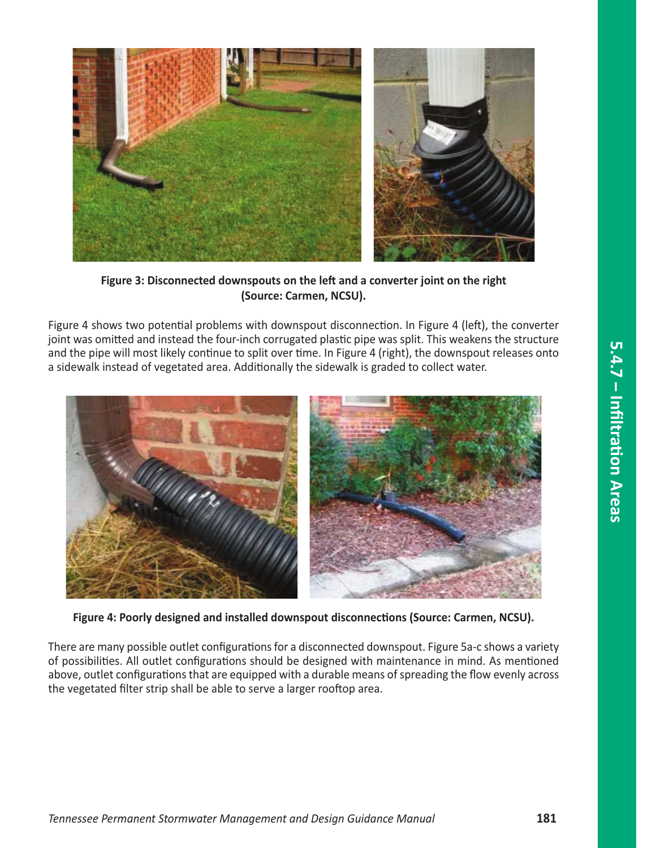

**Figure 3: Disconnected downspouts on the left and a converter joint on the right (Source: Carmen, NCSU).**

Figure 4 shows two potential problems with downspout disconnection. In Figure 4 (left), the converter joint was omitted and instead the four-inch corrugated plastic pipe was split. This weakens the structure and the pipe will most likely continue to split over time. In Figure 4 (right), the downspout releases onto a sidewalk instead of vegetated area. Additionally the sidewalk is graded to collect water.



**Figure 4: Poorly designed and installed downspout disconnections (Source: Carmen, NCSU).**

There are many possible outlet configurations for a disconnected downspout. Figure 5a‐c shows a variety of possibilities. All outlet configurations should be designed with maintenance in mind. As mentioned above, outlet configurations that are equipped with a durable means of spreading the flow evenly across the vegetated filter strip shall be able to serve a larger rooftop area.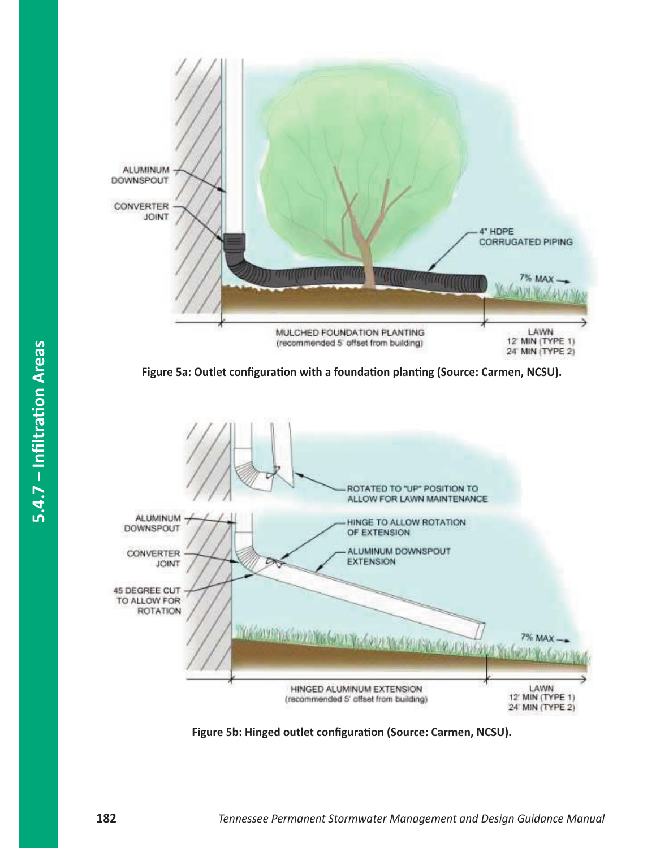





**Figure 5b: Hinged outlet configuration (Source: Carmen, NCSU).**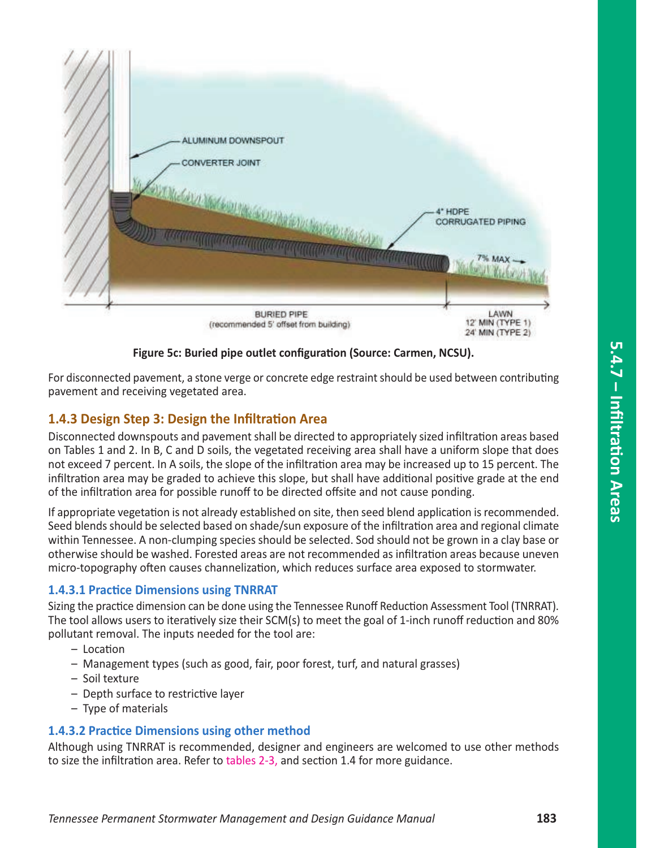

**Figure 5c: Buried pipe outlet configuration (Source: Carmen, NCSU).**

For disconnected pavement, a stone verge or concrete edge restraint should be used between contributing pavement and receiving vegetated area.

## **1.4.3 Design Step 3: Design the Infiltration Area**

Disconnected downspouts and pavement shall be directed to appropriately sized infiltration areas based on Tables 1 and 2. In B, C and D soils, the vegetated receiving area shall have a uniform slope that does not exceed 7 percent. In A soils, the slope of the infiltration area may be increased up to 15 percent. The infiltration area may be graded to achieve this slope, but shall have additional positive grade at the end of the infiltration area for possible runoff to be directed offsite and not cause ponding.

If appropriate vegetation is not already established on site, then seed blend application is recommended. Seed blends should be selected based on shade/sun exposure of the infiltration area and regional climate within Tennessee. A non‐clumping species should be selected. Sod should not be grown in a clay base or otherwise should be washed. Forested areas are not recommended as infiltration areas because uneven micro‐topography often causes channelization, which reduces surface area exposed to stormwater.

### **1.4.3.1 Practice Dimensions using TNRRAT**

Sizing the practice dimension can be done using the Tennessee Runoff Reduction Assessment Tool (TNRRAT). The tool allows users to iteratively size their SCM(s) to meet the goal of 1‐inch runoff reduction and 80% pollutant removal. The inputs needed for the tool are:

- Location
- Management types (such as good, fair, poor forest, turf, and natural grasses)
- Soil texture
- Depth surface to restrictive layer
- Type of materials

### **1.4.3.2 Practice Dimensions using other method**

Although using TNRRAT is recommended, designer and engineers are welcomed to use other methods to size the infiltration area. Refer to tables 2‐3, and section 1.4 for more guidance.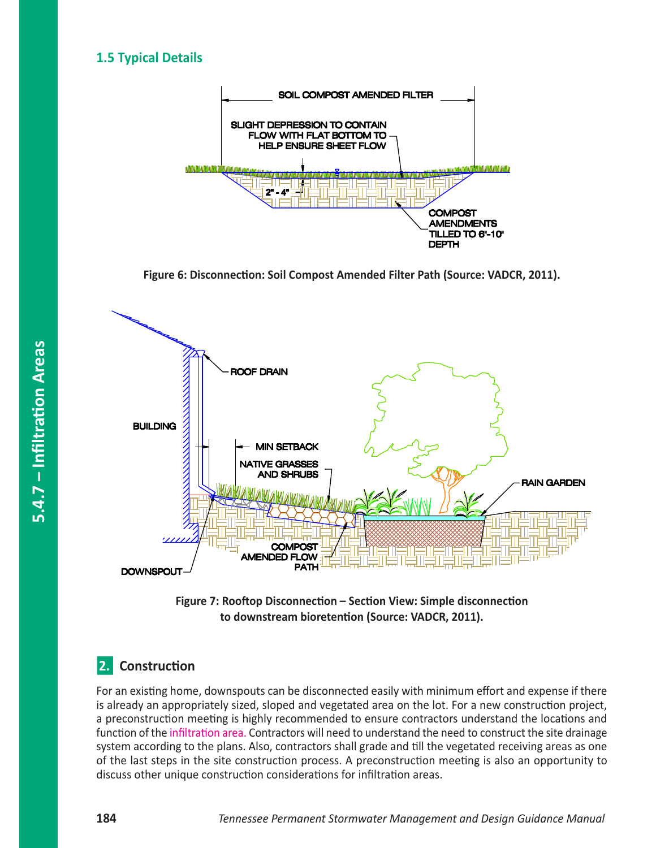### **1.5 Typical Details**



**Figure 6: Disconnection: Soil Compost Amended Filter Path (Source: VADCR, 2011).**





# **2.** Construction

For an existing home, downspouts can be disconnected easily with minimum effort and expense if there is already an appropriately sized, sloped and vegetated area on the lot. For a new construction project, a preconstruction meeting is highly recommended to ensure contractors understand the locations and function of the infiltration area. Contractors will need to understand the need to construct the site drainage system according to the plans. Also, contractors shall grade and till the vegetated receiving areas as one of the last steps in the site construction process. A preconstruction meeting is also an opportunity to discuss other unique construction considerations for infiltration areas.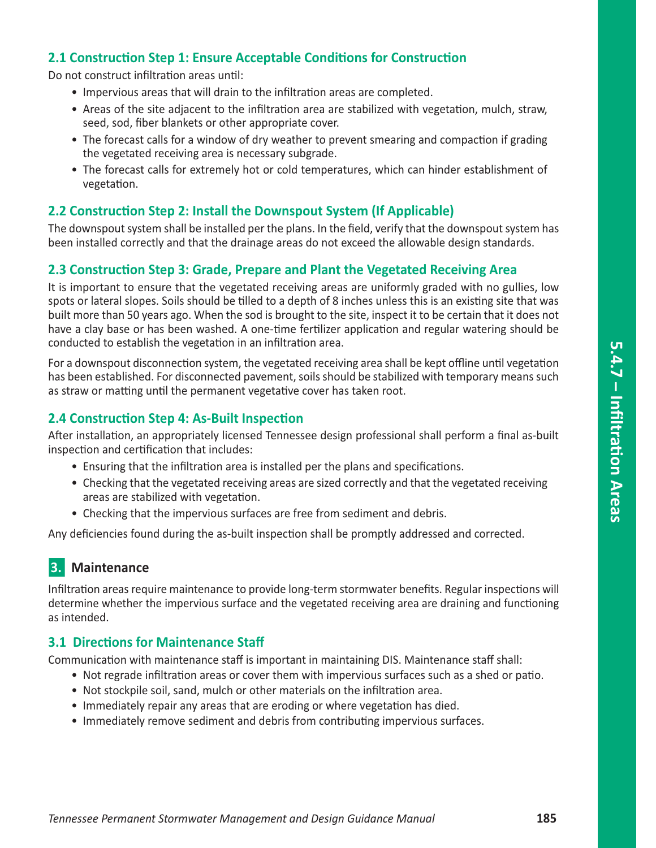### **2.1 Construction Step 1: Ensure Acceptable Conditions for Construction**

Do not construct infiltration areas until:

- Impervious areas that will drain to the infiltration areas are completed.
- Areas of the site adjacent to the infiltration area are stabilized with vegetation, mulch, straw, seed, sod, fiber blankets or other appropriate cover.
- The forecast calls for a window of dry weather to prevent smearing and compaction if grading the vegetated receiving area is necessary subgrade.
- The forecast calls for extremely hot or cold temperatures, which can hinder establishment of vegetation.

#### **2.2 Construction Step 2: Install the Downspout System (If Applicable)**

The downspout system shall be installed per the plans. In the field, verify that the downspout system has been installed correctly and that the drainage areas do not exceed the allowable design standards.

#### **2.3 Construction Step 3: Grade, Prepare and Plant the Vegetated Receiving Area**

It is important to ensure that the vegetated receiving areas are uniformly graded with no gullies, low spots or lateral slopes. Soils should be tilled to a depth of 8 inches unless this is an existing site that was built more than 50 years ago. When the sod is brought to the site, inspect it to be certain that it does not have a clay base or has been washed. A one-time fertilizer application and regular watering should be conducted to establish the vegetation in an infiltration area.

For a downspout disconnection system, the vegetated receiving area shall be kept offline until vegetation has been established. For disconnected pavement, soils should be stabilized with temporary means such as straw or matting until the permanent vegetative cover has taken root.

#### **2.4 Construction Step 4: As-Built Inspection**

After installation, an appropriately licensed Tennessee design professional shall perform a final as‐built inspection and certification that includes:

- Ensuring that the infiltration area is installed per the plans and specifications.
- Checking that the vegetated receiving areas are sized correctly and that the vegetated receiving areas are stabilized with vegetation.
- Checking that the impervious surfaces are free from sediment and debris.

Any deficiencies found during the as‐built inspection shall be promptly addressed and corrected.

# **3.** Maintenance

Infiltration areas require maintenance to provide long‐term stormwater benefits. Regular inspections will determine whether the impervious surface and the vegetated receiving area are draining and functioning as intended.

#### **3.1 Directions for Maintenance Staff**

Communication with maintenance staff is important in maintaining DIS. Maintenance staff shall:

- Not regrade infiltration areas or cover them with impervious surfaces such as a shed or patio.
- Not stockpile soil, sand, mulch or other materials on the infiltration area.
- Immediately repair any areas that are eroding or where vegetation has died.
- Immediately remove sediment and debris from contributing impervious surfaces.